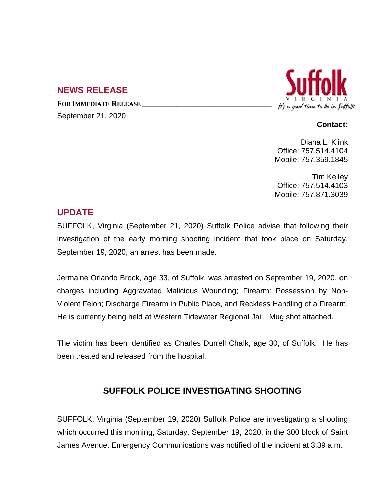## **NEWS RELEASE**

**FOR IMMEDIATE RELEASE \_\_\_\_\_\_\_\_\_\_\_\_\_\_\_\_\_\_\_\_\_\_\_\_\_\_\_\_\_\_\_\_\_\_**

September 21, 2020



## **Contact:**

Diana L. Klink Office: 757.514.4104 Mobile: 757.359.1845

Tim Kelley Office: 757.514.4103 Mobile: 757.871.3039

## **UPDATE**

SUFFOLK, Virginia (September 21, 2020) Suffolk Police advise that following their investigation of the early morning shooting incident that took place on Saturday, September 19, 2020, an arrest has been made.

Jermaine Orlando Brock, age 33, of Suffolk, was arrested on September 19, 2020, on charges including Aggravated Malicious Wounding; Firearm: Possession by Non-Violent Felon; Discharge Firearm in Public Place, and Reckless Handling of a Firearm. He is currently being held at Western Tidewater Regional Jail. Mug shot attached.

The victim has been identified as Charles Durrell Chalk, age 30, of Suffolk. He has been treated and released from the hospital.

## **SUFFOLK POLICE INVESTIGATING SHOOTING**

SUFFOLK, Virginia (September 19, 2020) Suffolk Police are investigating a shooting which occurred this morning, Saturday, September 19, 2020, in the 300 block of Saint James Avenue. Emergency Communications was notified of the incident at 3:39 a.m.